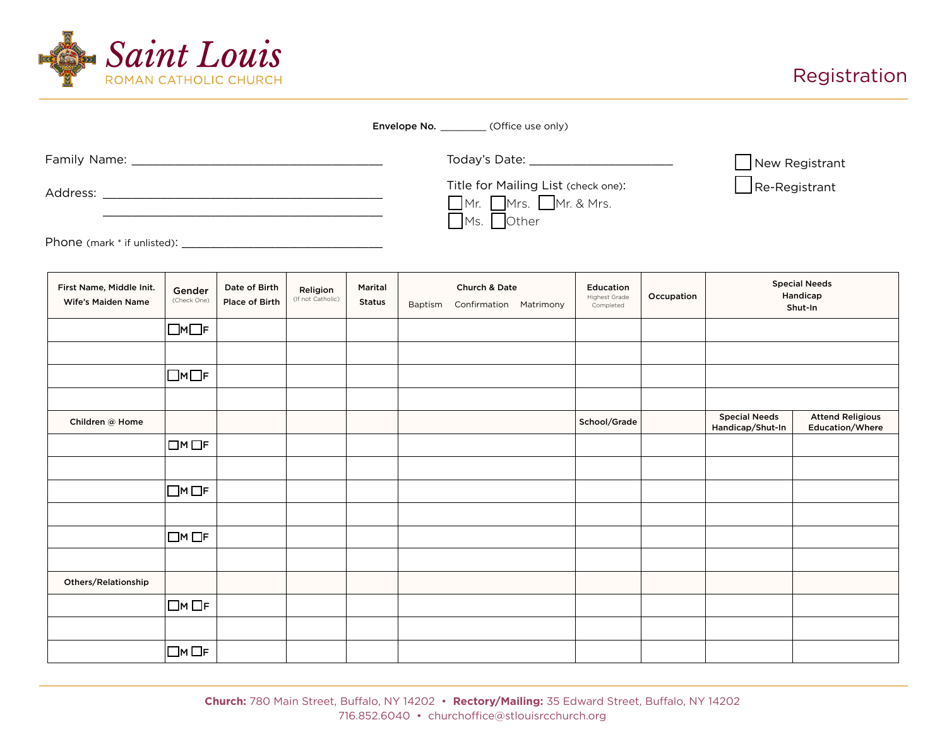

## Registration

|                             | <b>Envelope No.</b> (Office use only)                                                                |                      |
|-----------------------------|------------------------------------------------------------------------------------------------------|----------------------|
|                             | Today's Date: ____________________                                                                   | New Registrant       |
| Address:                    | Title for Mailing List (check one):<br>$\Box$ Mr. $\Box$ Mr. $\Box$ Mr. & Mrs.<br>$\n  Ms.\n  Other$ | $\Box$ Re-Registrant |
| Phone (mark * if unlisted): |                                                                                                      |                      |

First Name, Middle Init. Wife's Maiden Name Children @ Home School/Grade Attend Religious Education/Where Special Needs Handicap/Shut-In Others/Relationship Gender (Check One)  $\Box M \Box F$  $\Box$ M $\Box$ F  $\square$ M $\square$ F  $\Box$ M  $\Box$ F  $\Box$ M $\Box$ F  $\Box$ M $\Box$ F Religion (If not Catholic) Date of Birth Place of Birth  $\Box$ M  $\Box$ F Marital Status Education Highest Grade Completed Occupation Church & Date Baptism Confirmation Matrimony Special Needs Handicap Shut-In